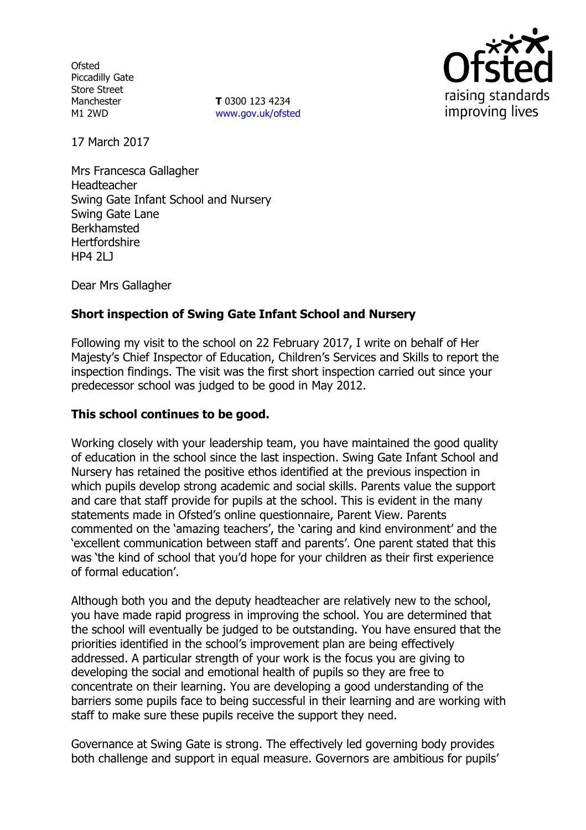**Ofsted** Piccadilly Gate Store Street Manchester M1 2WD

**T** 0300 123 4234 www.gov.uk/ofsted



17 March 2017

Mrs Francesca Gallagher Headteacher Swing Gate Infant School and Nursery Swing Gate Lane Berkhamsted **Hertfordshire** HP4 2LJ

Dear Mrs Gallagher

# **Short inspection of Swing Gate Infant School and Nursery**

Following my visit to the school on 22 February 2017, I write on behalf of Her Majesty's Chief Inspector of Education, Children's Services and Skills to report the inspection findings. The visit was the first short inspection carried out since your predecessor school was judged to be good in May 2012.

### **This school continues to be good.**

Working closely with your leadership team, you have maintained the good quality of education in the school since the last inspection. Swing Gate Infant School and Nursery has retained the positive ethos identified at the previous inspection in which pupils develop strong academic and social skills. Parents value the support and care that staff provide for pupils at the school. This is evident in the many statements made in Ofsted's online questionnaire, Parent View. Parents commented on the 'amazing teachers', the 'caring and kind environment' and the 'excellent communication between staff and parents'. One parent stated that this was 'the kind of school that you'd hope for your children as their first experience of formal education'.

Although both you and the deputy headteacher are relatively new to the school, you have made rapid progress in improving the school. You are determined that the school will eventually be judged to be outstanding. You have ensured that the priorities identified in the school's improvement plan are being effectively addressed. A particular strength of your work is the focus you are giving to developing the social and emotional health of pupils so they are free to concentrate on their learning. You are developing a good understanding of the barriers some pupils face to being successful in their learning and are working with staff to make sure these pupils receive the support they need.

Governance at Swing Gate is strong. The effectively led governing body provides both challenge and support in equal measure. Governors are ambitious for pupils'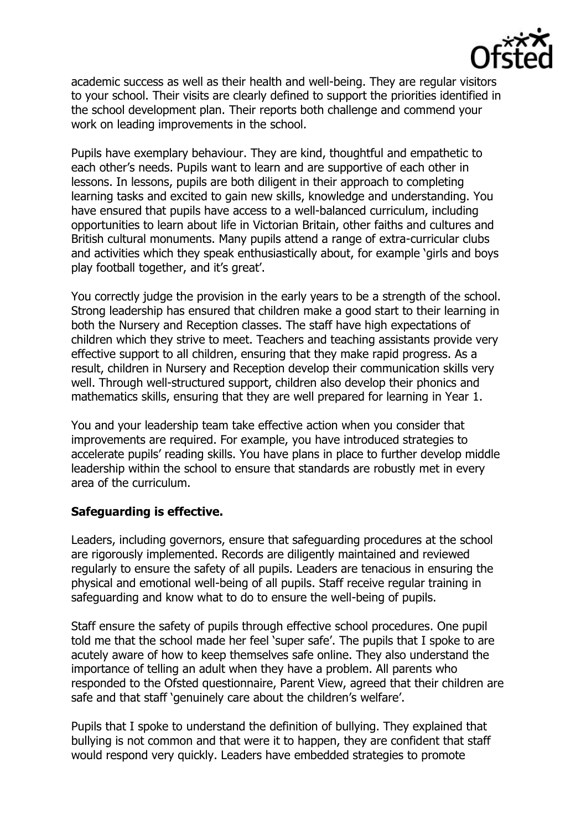

academic success as well as their health and well-being. They are regular visitors to your school. Their visits are clearly defined to support the priorities identified in the school development plan. Their reports both challenge and commend your work on leading improvements in the school.

Pupils have exemplary behaviour. They are kind, thoughtful and empathetic to each other's needs. Pupils want to learn and are supportive of each other in lessons. In lessons, pupils are both diligent in their approach to completing learning tasks and excited to gain new skills, knowledge and understanding. You have ensured that pupils have access to a well-balanced curriculum, including opportunities to learn about life in Victorian Britain, other faiths and cultures and British cultural monuments. Many pupils attend a range of extra-curricular clubs and activities which they speak enthusiastically about, for example 'girls and boys play football together, and it's great'.

You correctly judge the provision in the early years to be a strength of the school. Strong leadership has ensured that children make a good start to their learning in both the Nursery and Reception classes. The staff have high expectations of children which they strive to meet. Teachers and teaching assistants provide very effective support to all children, ensuring that they make rapid progress. As a result, children in Nursery and Reception develop their communication skills very well. Through well-structured support, children also develop their phonics and mathematics skills, ensuring that they are well prepared for learning in Year 1.

You and your leadership team take effective action when you consider that improvements are required. For example, you have introduced strategies to accelerate pupils' reading skills. You have plans in place to further develop middle leadership within the school to ensure that standards are robustly met in every area of the curriculum.

#### **Safeguarding is effective.**

Leaders, including governors, ensure that safeguarding procedures at the school are rigorously implemented. Records are diligently maintained and reviewed regularly to ensure the safety of all pupils. Leaders are tenacious in ensuring the physical and emotional well-being of all pupils. Staff receive regular training in safeguarding and know what to do to ensure the well-being of pupils.

Staff ensure the safety of pupils through effective school procedures. One pupil told me that the school made her feel 'super safe'. The pupils that I spoke to are acutely aware of how to keep themselves safe online. They also understand the importance of telling an adult when they have a problem. All parents who responded to the Ofsted questionnaire, Parent View, agreed that their children are safe and that staff 'genuinely care about the children's welfare'.

Pupils that I spoke to understand the definition of bullying. They explained that bullying is not common and that were it to happen, they are confident that staff would respond very quickly. Leaders have embedded strategies to promote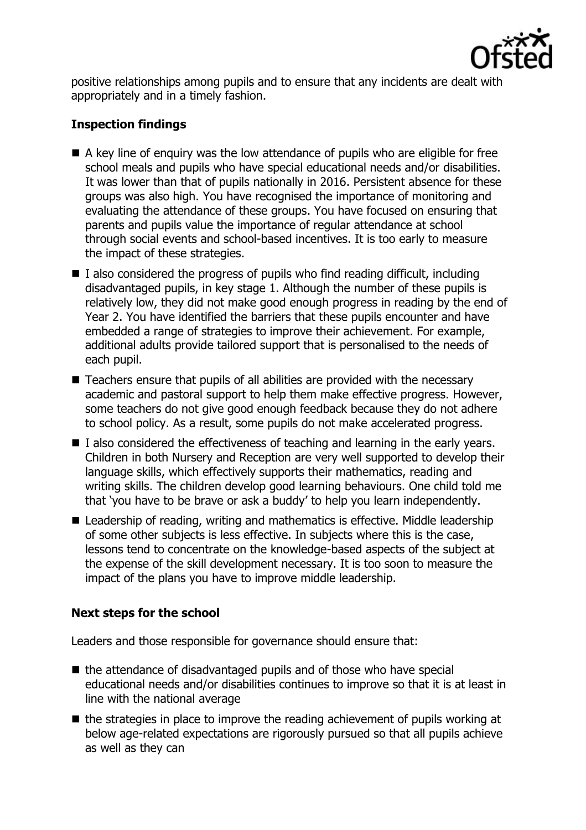

positive relationships among pupils and to ensure that any incidents are dealt with appropriately and in a timely fashion.

# **Inspection findings**

- A key line of enquiry was the low attendance of pupils who are eligible for free school meals and pupils who have special educational needs and/or disabilities. It was lower than that of pupils nationally in 2016. Persistent absence for these groups was also high. You have recognised the importance of monitoring and evaluating the attendance of these groups. You have focused on ensuring that parents and pupils value the importance of regular attendance at school through social events and school-based incentives. It is too early to measure the impact of these strategies.
- $\blacksquare$  I also considered the progress of pupils who find reading difficult, including disadvantaged pupils, in key stage 1. Although the number of these pupils is relatively low, they did not make good enough progress in reading by the end of Year 2. You have identified the barriers that these pupils encounter and have embedded a range of strategies to improve their achievement. For example, additional adults provide tailored support that is personalised to the needs of each pupil.
- Teachers ensure that pupils of all abilities are provided with the necessary academic and pastoral support to help them make effective progress. However, some teachers do not give good enough feedback because they do not adhere to school policy. As a result, some pupils do not make accelerated progress.
- $\blacksquare$  I also considered the effectiveness of teaching and learning in the early years. Children in both Nursery and Reception are very well supported to develop their language skills, which effectively supports their mathematics, reading and writing skills. The children develop good learning behaviours. One child told me that 'you have to be brave or ask a buddy' to help you learn independently.
- Leadership of reading, writing and mathematics is effective. Middle leadership of some other subjects is less effective. In subjects where this is the case, lessons tend to concentrate on the knowledge-based aspects of the subject at the expense of the skill development necessary. It is too soon to measure the impact of the plans you have to improve middle leadership.

# **Next steps for the school**

Leaders and those responsible for governance should ensure that:

- $\blacksquare$  the attendance of disadvantaged pupils and of those who have special educational needs and/or disabilities continues to improve so that it is at least in line with the national average
- $\blacksquare$  the strategies in place to improve the reading achievement of pupils working at below age-related expectations are rigorously pursued so that all pupils achieve as well as they can